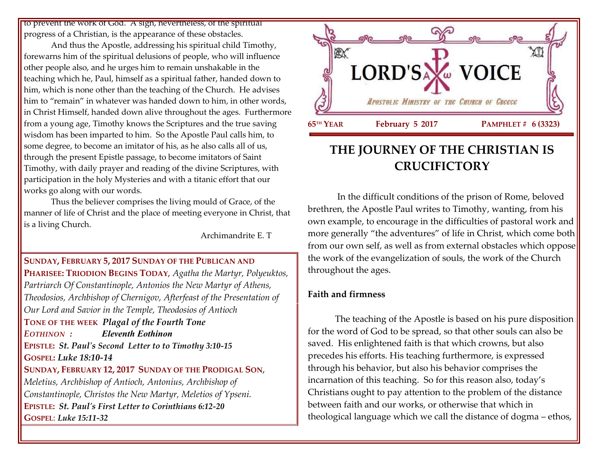to prevent the work of God. A sign, nevertheless, of the spiritual progress of a Christian, is the appearance of these obstacles.

And thus the Apostle, addressing his spiritual child Timothy, forewarns him of the spiritual delusions of people, who will influence other people also, and he urges him to remain unshakable in the teaching which he, Paul, himself as a spiritual father, handed down to him, which is none other than the teaching of the Church. He advises him to "remain" in whatever was handed down to him, in other words, in Christ Himself, handed down alive throughout the ages. Furthermore from a young age, Timothy knows the Scriptures and the true saving wisdom has been imparted to him. So the Apostle Paul calls him, to some degree, to become an imitator of his, as he also calls all of us, through the present Epistle passage, to become imitators of Saint Timothy, with daily prayer and reading of the divine Scriptures, with participation in the holy Mysteries and with a titanic effort that our works go along with our words.

Thus the believer comprises the living mould of Grace, of the manner of life of Christ and the place of meeting everyone in Christ, that is a living Church.

Archimandrite E. T

#### **SUNDAY, FEBRUARY 5, 2017 SUNDAY OF THE PUBLICAN AND**

**PHARISEE: TRIODION BEGINS TODAY**, *Agatha the Martyr, Polyeuktos, Partriarch Of Constantinople, Antonios the New Martyr of Athens, Theodosios, Archbishop of Chernigov, Afterfeast of the Presentation of Our Lord and Savior in the Temple, Theodosios of Antioch*

**TONE OF THE WEEK** *Plagal of the Fourth Tone EOTHINON : Eleventh Eothinon*

**EPISTLE:** *St. Paul's Second Letter to to Timothy 3:10-15*

**GOSPEL:** *Luke 18:10-14*

#### **SUNDAY, FEBRUARY 12, 2017 SUNDAY OF THE PRODIGAL SON**,

*Meletius, Archbishop of Antioch, Antonius, Archbishop of Constantinople, Christos the New Martyr, Meletios of Ypseni.* **EPISTLE:** *St. Paul's First Letter to Corinthians 6:12-20* **GOSPEL**: *Luke 15:11-32*



# **THE JOURNEY OF THE CHRISTIAN IS CRUCIFICTORY**

In the difficult conditions of the prison of Rome, beloved brethren, the Apostle Paul writes to Timothy, wanting, from his own example, to encourage in the difficulties of pastoral work and more generally "the adventures" of life in Christ, which come both from our own self, as well as from external obstacles which oppose the work of the evangelization of souls, the work of the Church throughout the ages.

#### **Faith and firmness**

The teaching of the Apostle is based on his pure disposition for the word of God to be spread, so that other souls can also be saved. His enlightened faith is that which crowns, but also precedes his efforts. His teaching furthermore, is expressed through his behavior, but also his behavior comprises the incarnation of this teaching. So for this reason also, today's Christians ought to pay attention to the problem of the distance between faith and our works, or otherwise that which in theological language which we call the distance of dogma – ethos,